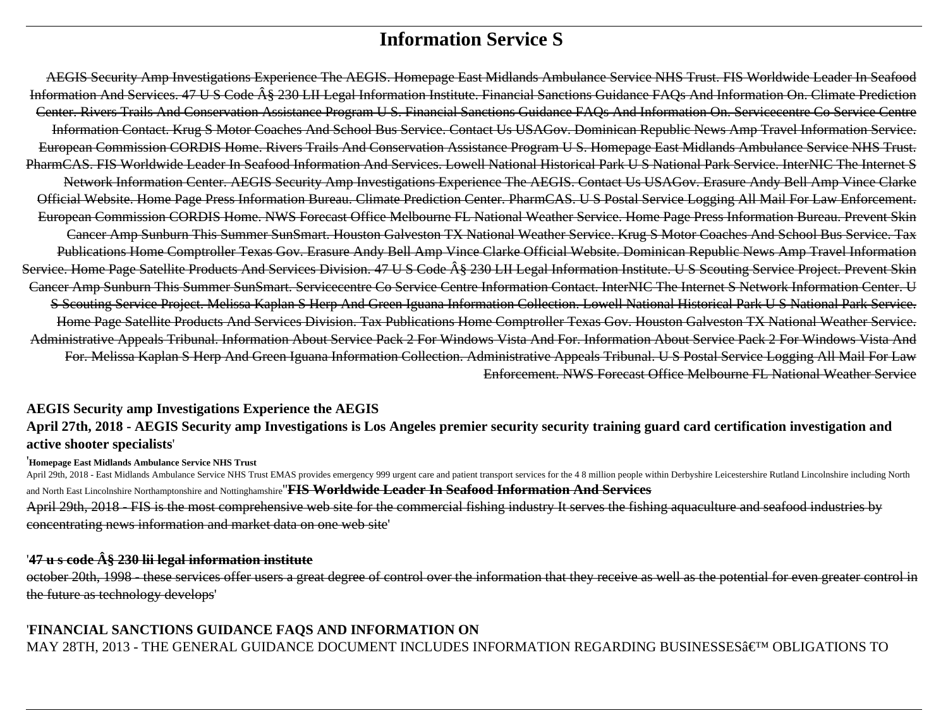# **Information Service S**

AEGIS Security Amp Investigations Experience The AEGIS. Homepage East Midlands Ambulance Service NHS Trust. FIS Worldwide Leader In Seafood Information And Services. 47 U S Code § 230 LII Legal Information Institute. Financial Sanctions Guidance FAQs And Information On. Climate Prediction Center. Rivers Trails And Conservation Assistance Program U S. Financial Sanctions Guidance FAQs And Information On. Servicecentre Co Service Centre Information Contact. Krug S Motor Coaches And School Bus Service. Contact Us USAGov. Dominican Republic News Amp Travel Information Service. European Commission CORDIS Home. Rivers Trails And Conservation Assistance Program U S. Homepage East Midlands Ambulance Service NHS Trust. PharmCAS. FIS Worldwide Leader In Seafood Information And Services. Lowell National Historical Park U S National Park Service. InterNIC The Internet S Network Information Center. AEGIS Security Amp Investigations Experience The AEGIS. Contact Us USAGov. Erasure Andy Bell Amp Vince Clarke Official Website. Home Page Press Information Bureau. Climate Prediction Center. PharmCAS. U S Postal Service Logging All Mail For Law Enforcement. European Commission CORDIS Home. NWS Forecast Office Melbourne FL National Weather Service. Home Page Press Information Bureau. Prevent Skin Cancer Amp Sunburn This Summer SunSmart. Houston Galveston TX National Weather Service. Krug S Motor Coaches And School Bus Service. Tax Publications Home Comptroller Texas Gov. Erasure Andy Bell Amp Vince Clarke Official Website. Dominican Republic News Amp Travel Information Service. Home Page Satellite Products And Services Division. 47 U S Code § 230 LII Legal Information Institute. U S Scouting Service Project. Prevent Skin Cancer Amp Sunburn This Summer SunSmart. Servicecentre Co Service Centre Information Contact. InterNIC The Internet S Network Information Center. U S Scouting Service Project. Melissa Kaplan S Herp And Green Iguana Information Collection. Lowell National Historical Park U S National Park Service. Home Page Satellite Products And Services Division. Tax Publications Home Comptroller Texas Gov. Houston Galveston TX National Weather Service. Administrative Appeals Tribunal. Information About Service Pack 2 For Windows Vista And For. Information About Service Pack 2 For Windows Vista And For. Melissa Kaplan S Herp And Green Iguana Information Collection. Administrative Appeals Tribunal. U S Postal Service Logging All Mail For Law Enforcement. NWS Forecast Office Melbourne FL National Weather Service

### **AEGIS Security amp Investigations Experience the AEGIS**

### **April 27th, 2018 - AEGIS Security amp Investigations is Los Angeles premier security security training guard card certification investigation and active shooter specialists**'

#### '**Homepage East Midlands Ambulance Service NHS Trust**

April 29th, 2018 - East Midlands Ambulance Service NHS Trust EMAS provides emergency 999 urgent care and patient transport services for the 4 8 million people within Derbyshire Leicestershire Rutland Lincolnshire including and North East Lincolnshire Northamptonshire and Nottinghamshire''**FIS Worldwide Leader In Seafood Information And Services** April 29th, 2018 - FIS is the most comprehensive web site for the commercial fishing industry It serves the fishing aquaculture and seafood industries by concentrating news information and market data on one web site'

### '**47 u s code § 230 lii legal information institute**

october 20th, 1998 - these services offer users a great degree of control over the information that they receive as well as the potential for even greater control in the future as technology develops'

### '**FINANCIAL SANCTIONS GUIDANCE FAQS AND INFORMATION ON** MAY 28TH, 2013 - THE GENERAL GUIDANCE DOCUMENT INCLUDES INFORMATION REGARDING BUSINESSES' OBLIGATIONS TO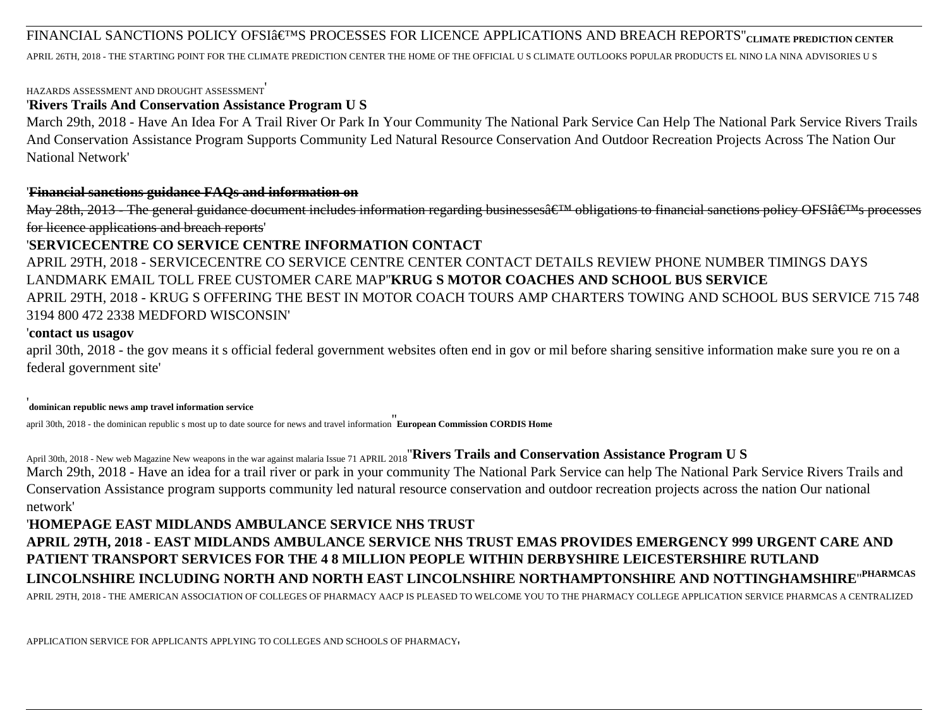### FINANCIAL SANCTIONS POLICY OFSI'S PROCESSES FOR LICENCE APPLICATIONS AND BREACH REPORTS"<sub>CLIMATE PREDICTION CENTER</sub>

APRIL 26TH, 2018 - THE STARTING POINT FOR THE CLIMATE PREDICTION CENTER THE HOME OF THE OFFICIAL U S CLIMATE OUTLOOKS POPULAR PRODUCTS EL NINO LA NINA ADVISORIES U S

#### HAZARDS ASSESSMENT AND DROUGHT ASSESSMENT'

#### '**Rivers Trails And Conservation Assistance Program U S**

March 29th, 2018 - Have An Idea For A Trail River Or Park In Your Community The National Park Service Can Help The National Park Service Rivers Trails And Conservation Assistance Program Supports Community Led Natural Resource Conservation And Outdoor Recreation Projects Across The Nation Our National Network'

#### '**Financial sanctions guidance FAQs and information on**

May 28th, 2013 - The general guidance document includes information regarding businesses  $\hat{\epsilon}^{TM}$  obligations to financial sanctions policy OFSI $\hat{\alpha} \epsilon^{TM}$ s processes for licence applications and breach reports'

### '**SERVICECENTRE CO SERVICE CENTRE INFORMATION CONTACT**

APRIL 29TH, 2018 - SERVICECENTRE CO SERVICE CENTRE CENTER CONTACT DETAILS REVIEW PHONE NUMBER TIMINGS DAYS LANDMARK EMAIL TOLL FREE CUSTOMER CARE MAP''**KRUG S MOTOR COACHES AND SCHOOL BUS SERVICE** APRIL 29TH, 2018 - KRUG S OFFERING THE BEST IN MOTOR COACH TOURS AMP CHARTERS TOWING AND SCHOOL BUS SERVICE 715 748 3194 800 472 2338 MEDFORD WISCONSIN'

#### '**contact us usagov**

april 30th, 2018 - the gov means it s official federal government websites often end in gov or mil before sharing sensitive information make sure you re on a federal government site'

#### '**dominican republic news amp travel information service**

april 30th, 2018 - the dominican republic s most up to date source for news and travel information''**European Commission CORDIS Home**

April 30th, 2018 - New web Magazine New weapons in the war against malaria Issue 71 APRIL 2018''**Rivers Trails and Conservation Assistance Program U S** March 29th, 2018 - Have an idea for a trail river or park in your community The National Park Service can help The National Park Service Rivers Trails and Conservation Assistance program supports community led natural resource conservation and outdoor recreation projects across the nation Our national network'

## '**HOMEPAGE EAST MIDLANDS AMBULANCE SERVICE NHS TRUST APRIL 29TH, 2018 - EAST MIDLANDS AMBULANCE SERVICE NHS TRUST EMAS PROVIDES EMERGENCY 999 URGENT CARE AND PATIENT TRANSPORT SERVICES FOR THE 4 8 MILLION PEOPLE WITHIN DERBYSHIRE LEICESTERSHIRE RUTLAND LINCOLNSHIRE INCLUDING NORTH AND NORTH EAST LINCOLNSHIRE NORTHAMPTONSHIRE AND NOTTINGHAMSHIRE**''**PHARMCAS** APRIL 29TH, 2018 - THE AMERICAN ASSOCIATION OF COLLEGES OF PHARMACY AACP IS PLEASED TO WELCOME YOU TO THE PHARMACY COLLEGE APPLICATION SERVICE PHARMCAS A CENTRALIZED

APPLICATION SERVICE FOR APPLICANTS APPLYING TO COLLEGES AND SCHOOLS OF PHARMACY'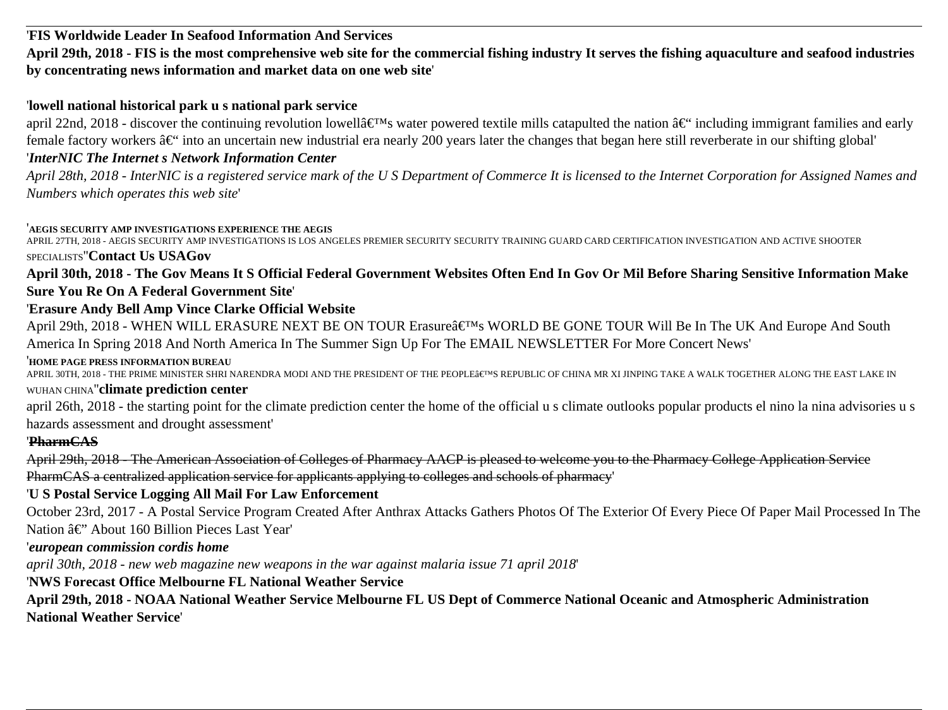### '**FIS Worldwide Leader In Seafood Information And Services**

**April 29th, 2018 - FIS is the most comprehensive web site for the commercial fishing industry It serves the fishing aquaculture and seafood industries by concentrating news information and market data on one web site**'

### '**lowell national historical park u s national park service**

april 22nd, 2018 - discover the continuing revolution lowell $\hat{a} \in \mathbb{N}$ s water powered textile mills catapulted the nation  $\hat{a} \in \mathbb{N}$  including immigrant families and early female factory workers  $\hat{a} \in \hat{a}$  into an uncertain new industrial era nearly 200 years later the changes that began here still reverberate in our shifting global'

### '*InterNIC The Internet s Network Information Center*

*April 28th, 2018 - InterNIC is a registered service mark of the U S Department of Commerce It is licensed to the Internet Corporation for Assigned Names and Numbers which operates this web site*'

#### '**AEGIS SECURITY AMP INVESTIGATIONS EXPERIENCE THE AEGIS**

APRIL 27TH, 2018 - AEGIS SECURITY AMP INVESTIGATIONS IS LOS ANGELES PREMIER SECURITY SECURITY TRAINING GUARD CARD CERTIFICATION INVESTIGATION AND ACTIVE SHOOTER SPECIALISTS''**Contact Us USAGov**

### **April 30th, 2018 - The Gov Means It S Official Federal Government Websites Often End In Gov Or Mil Before Sharing Sensitive Information Make Sure You Re On A Federal Government Site**'

### '**Erasure Andy Bell Amp Vince Clarke Official Website**

April 29th, 2018 - WHEN WILL ERASURE NEXT BE ON TOUR Erasure's WORLD BE GONE TOUR Will Be In The UK And Europe And South America In Spring 2018 And North America In The Summer Sign Up For The EMAIL NEWSLETTER For More Concert News'

#### '**HOME PAGE PRESS INFORMATION BUREAU**

APRIL 30TH, 2018 - THE PRIME MINISTER SHRI NARENDRA MODI AND THE PRESIDENT OF THE PEOPLE'S REPUBLIC OF CHINA MR XI JINPING TAKE A WALK TOGETHER ALONG THE EAST LAKE IN WUHAN CHINA''**climate prediction center**

april 26th, 2018 - the starting point for the climate prediction center the home of the official u s climate outlooks popular products el nino la nina advisories u s hazards assessment and drought assessment'

### '**PharmCAS**

April 29th, 2018 - The American Association of Colleges of Pharmacy AACP is pleased to welcome you to the Pharmacy College Application Service PharmCAS a centralized application service for applicants applying to colleges and schools of pharmacy'

### '**U S Postal Service Logging All Mail For Law Enforcement**

October 23rd, 2017 - A Postal Service Program Created After Anthrax Attacks Gathers Photos Of The Exterior Of Every Piece Of Paper Mail Processed In The Nation  $\hat{a} \in$ " About 160 Billion Pieces Last Year'

#### '*european commission cordis home*

*april 30th, 2018 - new web magazine new weapons in the war against malaria issue 71 april 2018*'

### '**NWS Forecast Office Melbourne FL National Weather Service**

**April 29th, 2018 - NOAA National Weather Service Melbourne FL US Dept of Commerce National Oceanic and Atmospheric Administration National Weather Service**'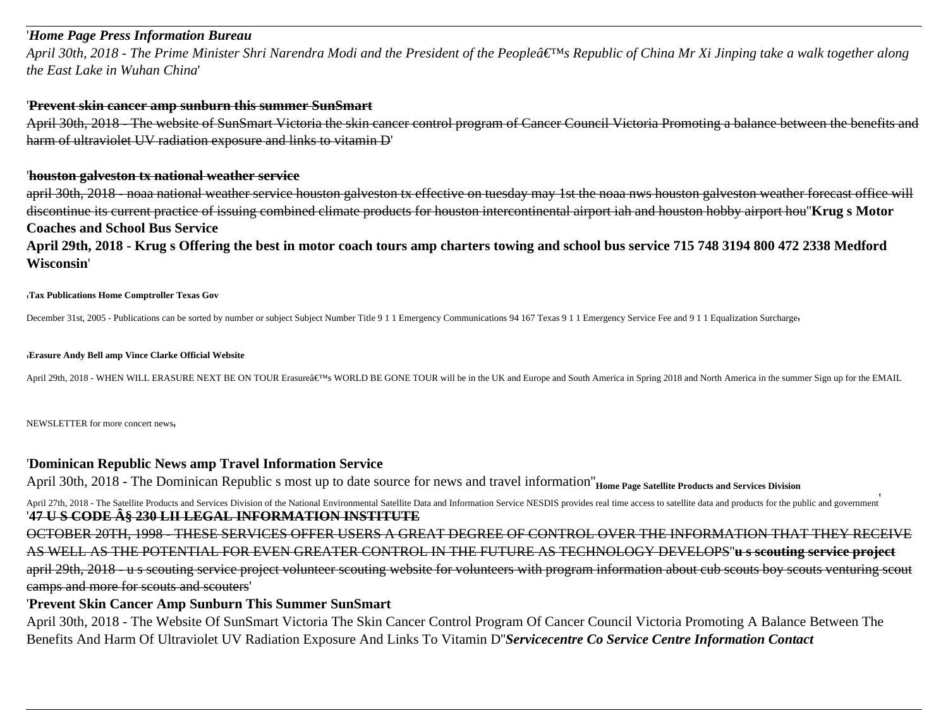#### '*Home Page Press Information Bureau*

*April 30th, 2018 - The Prime Minister Shri Narendra Modi and the President of the People's Republic of China Mr Xi Jinping take a walk together along the East Lake in Wuhan China*'

#### '**Prevent skin cancer amp sunburn this summer SunSmart**

April 30th, 2018 - The website of SunSmart Victoria the skin cancer control program of Cancer Council Victoria Promoting a balance between the benefits and harm of ultraviolet UV radiation exposure and links to vitamin D'

#### '**houston galveston tx national weather service**

april 30th, 2018 - noaa national weather service houston galveston tx effective on tuesday may 1st the noaa nws houston galveston weather forecast office will discontinue its current practice of issuing combined climate products for houston intercontinental airport iah and houston hobby airport hou''**Krug s Motor Coaches and School Bus Service**

**April 29th, 2018 - Krug s Offering the best in motor coach tours amp charters towing and school bus service 715 748 3194 800 472 2338 Medford Wisconsin**'

#### '**Tax Publications Home Comptroller Texas Gov**

December 31st, 2005 - Publications can be sorted by number or subject Subject Number Title 9 1 1 Emergency Communications 94 167 Texas 9 1 1 Emergency Service Fee and 9 1 1 Equalization Surcharge

#### '**Erasure Andy Bell amp Vince Clarke Official Website**

April 29th, 2018 - WHEN WILL ERASURE NEXT BE ON TOUR Erasure's WORLD BE GONE TOUR will be in the UK and Europe and South America in Spring 2018 and North America in the summer Sign up for the EMAIL

NEWSLETTER for more concert news'

#### '**Dominican Republic News amp Travel Information Service**

April 30th, 2018 - The Dominican Republic s most up to date source for news and travel information"<sub>Home Page Satellite Products and Services Division</sub>

April 27th, 2018 - The Satellite Products and Services Division of the National Environmental Satellite Data and Information Service NESDIS provides real time access to satellite data and products for the public and govern '**47 U S CODE § 230 LII LEGAL INFORMATION INSTITUTE**

OCTOBER 20TH, 1998 - THESE SERVICES OFFER USERS A GREAT DEGREE OF CONTROL OVER THE INFORMATION THAT THEY RECEIVE AS WELL AS THE POTENTIAL FOR EVEN GREATER CONTROL IN THE FUTURE AS TECHNOLOGY DEVELOPS''**u s scouting service project** april 29th, 2018 - u s scouting service project volunteer scouting website for volunteers with program information about cub scouts boy scouts venturing scout camps and more for scouts and scouters'

#### '**Prevent Skin Cancer Amp Sunburn This Summer SunSmart**

April 30th, 2018 - The Website Of SunSmart Victoria The Skin Cancer Control Program Of Cancer Council Victoria Promoting A Balance Between The Benefits And Harm Of Ultraviolet UV Radiation Exposure And Links To Vitamin D''*Servicecentre Co Service Centre Information Contact*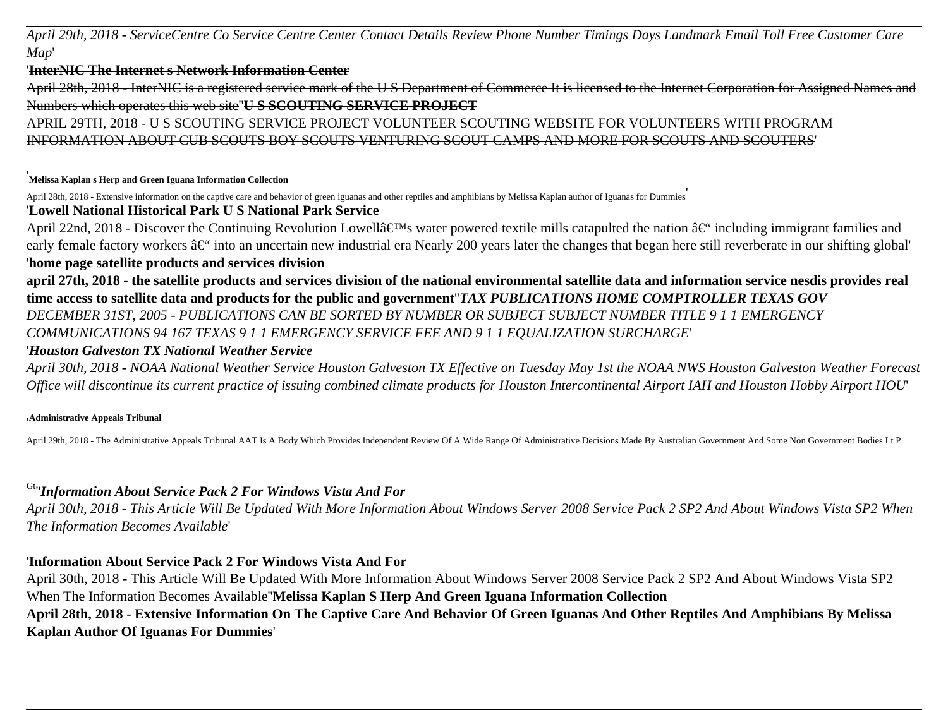*April 29th, 2018 - ServiceCentre Co Service Centre Center Contact Details Review Phone Number Timings Days Landmark Email Toll Free Customer Care Map*'

#### '**InterNIC The Internet s Network Information Center**

April 28th, 2018 - InterNIC is a registered service mark of the U S Department of Commerce It is licensed to the Internet Corporation for Assigned Names and Numbers which operates this web site''**U S SCOUTING SERVICE PROJECT**

APRIL 29TH, 2018 - U S SCOUTING SERVICE PROJECT VOLUNTEER SCOUTING WEBSITE FOR VOLUNTEERS WITH PROGRAM INFORMATION ABOUT CUB SCOUTS BOY SCOUTS VENTURING SCOUT CAMPS AND MORE FOR SCOUTS AND SCOUTERS'

#### '**Melissa Kaplan s Herp and Green Iguana Information Collection**

April 28th, 2018 - Extensive information on the captive care and behavior of green iguanas and other reptiles and amphibians by Melissa Kaplan author of Iguanas for Dummies

### '**Lowell National Historical Park U S National Park Service**

April 22nd, 2018 - Discover the Continuing Revolution Lowell $\hat{a} \in \mathbb{N}$ s water powered textile mills catapulted the nation  $\hat{a} \in \mathbb{N}$  including immigrant families and early female factory workers  $\hat{a} \in \hat{a}$  into an uncertain new industrial era Nearly 200 years later the changes that began here still reverberate in our shifting global' '**home page satellite products and services division**

**april 27th, 2018 - the satellite products and services division of the national environmental satellite data and information service nesdis provides real time access to satellite data and products for the public and government**''*TAX PUBLICATIONS HOME COMPTROLLER TEXAS GOV DECEMBER 31ST, 2005 - PUBLICATIONS CAN BE SORTED BY NUMBER OR SUBJECT SUBJECT NUMBER TITLE 9 1 1 EMERGENCY COMMUNICATIONS 94 167 TEXAS 9 1 1 EMERGENCY SERVICE FEE AND 9 1 1 EQUALIZATION SURCHARGE*'

### '*Houston Galveston TX National Weather Service*

*April 30th, 2018 - NOAA National Weather Service Houston Galveston TX Effective on Tuesday May 1st the NOAA NWS Houston Galveston Weather Forecast Office will discontinue its current practice of issuing combined climate products for Houston Intercontinental Airport IAH and Houston Hobby Airport HOU*'

#### '**Administrative Appeals Tribunal**

April 29th, 2018 - The Administrative Appeals Tribunal AAT Is A Body Which Provides Independent Review Of A Wide Range Of Administrative Decisions Made By Australian Government And Some Non Government Bodies Lt P

### Gt''*Information About Service Pack 2 For Windows Vista And For*

*April 30th, 2018 - This Article Will Be Updated With More Information About Windows Server 2008 Service Pack 2 SP2 And About Windows Vista SP2 When The Information Becomes Available*'

### '**Information About Service Pack 2 For Windows Vista And For**

April 30th, 2018 - This Article Will Be Updated With More Information About Windows Server 2008 Service Pack 2 SP2 And About Windows Vista SP2 When The Information Becomes Available''**Melissa Kaplan S Herp And Green Iguana Information Collection April 28th, 2018 - Extensive Information On The Captive Care And Behavior Of Green Iguanas And Other Reptiles And Amphibians By Melissa**

### **Kaplan Author Of Iguanas For Dummies**'